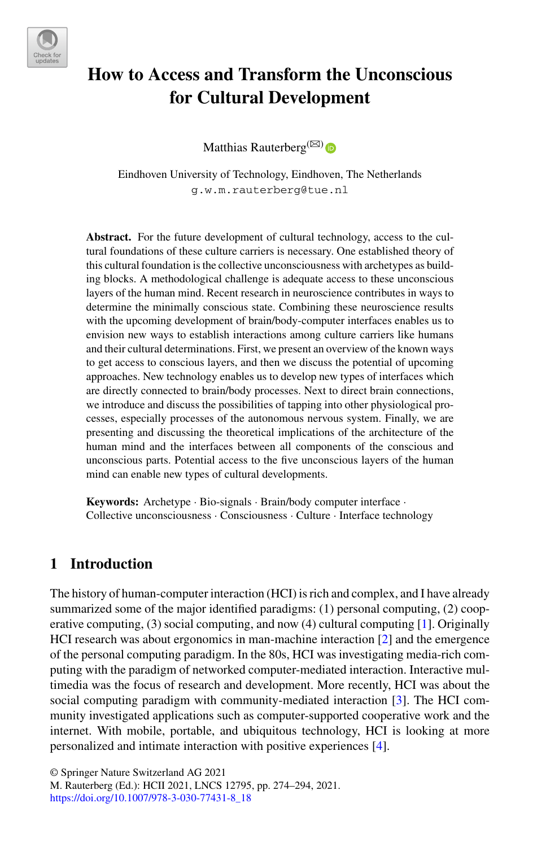

# **How to Access and Transform the Unconscious for Cultural Development**

Matthias Rauterberg<sup>( $\boxtimes$ )</sup>

Eindhoven University of Technology, Eindhoven, The Netherlands g.w.m.rauterberg@tue.nl

**Abstract.** For the future development of cultural technology, access to the cultural foundations of these culture carriers is necessary. One established theory of this cultural foundation is the collective unconsciousness with archetypes as building blocks. A methodological challenge is adequate access to these unconscious layers of the human mind. Recent research in neuroscience contributes in ways to determine the minimally conscious state. Combining these neuroscience results with the upcoming development of brain/body-computer interfaces enables us to envision new ways to establish interactions among culture carriers like humans and their cultural determinations. First, we present an overview of the known ways to get access to conscious layers, and then we discuss the potential of upcoming approaches. New technology enables us to develop new types of interfaces which are directly connected to brain/body processes. Next to direct brain connections, we introduce and discuss the possibilities of tapping into other physiological processes, especially processes of the autonomous nervous system. Finally, we are presenting and discussing the theoretical implications of the architecture of the human mind and the interfaces between all components of the conscious and unconscious parts. Potential access to the five unconscious layers of the human mind can enable new types of cultural developments.

**Keywords:** Archetype · Bio-signals · Brain/body computer interface · Collective unconsciousness · Consciousness · Culture · Interface technology

# **1 Introduction**

The history of human-computer interaction (HCI) is rich and complex, and I have already summarized some of the major identified paradigms: (1) personal computing, (2) cooperative computing, (3) social computing, and now (4) cultural computing [1]. Originally HCI research was about ergonomics in man-machine interaction [2] and the emergence of the personal computing paradigm. In the 80s, HCI was investigating media-rich computing with the paradigm of networked computer-mediated interaction. Interactive multimedia was the focus of research and development. More recently, HCI was about the social computing paradigm with community-mediated interaction [3]. The HCI community investigated applications such as computer-supported cooperative work and the internet. With mobile, portable, and ubiquitous technology, HCI is looking at more personalized and intimate interaction with positive experiences [4].

<sup>©</sup> Springer Nature Switzerland AG 2021

M. Rauterberg (Ed.): HCII 2021, LNCS 12795, pp. 274–294, 2021. [https://doi.org/10.1007/978-3-030-77431-8\\_18](https://doi.org/10.1007/978-3-030-77431-8_18)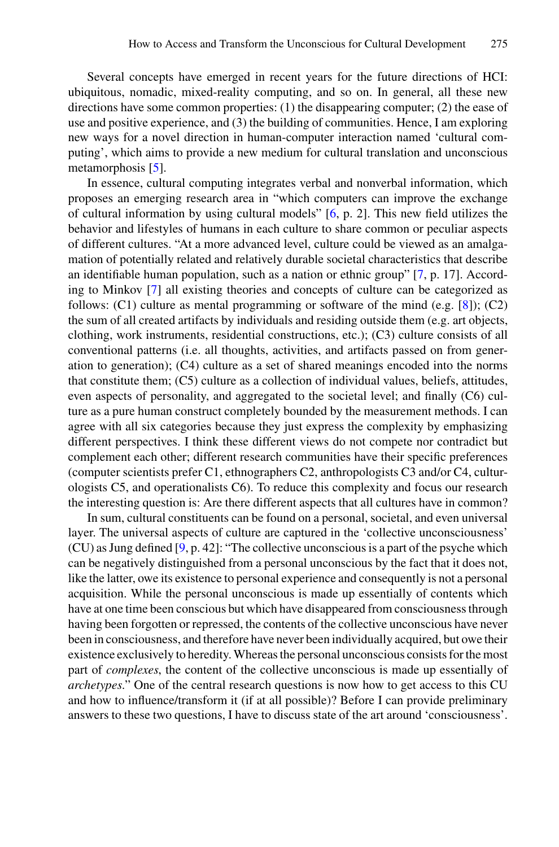Several concepts have emerged in recent years for the future directions of HCI: ubiquitous, nomadic, mixed-reality computing, and so on. In general, all these new directions have some common properties: (1) the disappearing computer; (2) the ease of use and positive experience, and (3) the building of communities. Hence, I am exploring new ways for a novel direction in human-computer interaction named 'cultural computing', which aims to provide a new medium for cultural translation and unconscious metamorphosis [5].

In essence, cultural computing integrates verbal and nonverbal information, which proposes an emerging research area in "which computers can improve the exchange of cultural information by using cultural models" [6, p. 2]. This new field utilizes the behavior and lifestyles of humans in each culture to share common or peculiar aspects of different cultures. "At a more advanced level, culture could be viewed as an amalgamation of potentially related and relatively durable societal characteristics that describe an identifiable human population, such as a nation or ethnic group" [7, p. 17]. According to Minkov [7] all existing theories and concepts of culture can be categorized as follows:  $(C1)$  culture as mental programming or software of the mind (e.g. [8]);  $(C2)$ the sum of all created artifacts by individuals and residing outside them (e.g. art objects, clothing, work instruments, residential constructions, etc.); (C3) culture consists of all conventional patterns (i.e. all thoughts, activities, and artifacts passed on from generation to generation); (C4) culture as a set of shared meanings encoded into the norms that constitute them; (C5) culture as a collection of individual values, beliefs, attitudes, even aspects of personality, and aggregated to the societal level; and finally (C6) culture as a pure human construct completely bounded by the measurement methods. I can agree with all six categories because they just express the complexity by emphasizing different perspectives. I think these different views do not compete nor contradict but complement each other; different research communities have their specific preferences (computer scientists prefer C1, ethnographers C2, anthropologists C3 and/or C4, culturologists C5, and operationalists C6). To reduce this complexity and focus our research the interesting question is: Are there different aspects that all cultures have in common?

In sum, cultural constituents can be found on a personal, societal, and even universal layer. The universal aspects of culture are captured in the 'collective unconsciousness' (CU) as Jung defined [9, p. 42]: "The collective unconscious is a part of the psyche which can be negatively distinguished from a personal unconscious by the fact that it does not, like the latter, owe its existence to personal experience and consequently is not a personal acquisition. While the personal unconscious is made up essentially of contents which have at one time been conscious but which have disappeared from consciousness through having been forgotten or repressed, the contents of the collective unconscious have never been in consciousness, and therefore have never been individually acquired, but owe their existence exclusively to heredity.Whereas the personal unconscious consists for the most part of *complexes*, the content of the collective unconscious is made up essentially of *archetypes*." One of the central research questions is now how to get access to this CU and how to influence/transform it (if at all possible)? Before I can provide preliminary answers to these two questions, I have to discuss state of the art around 'consciousness'.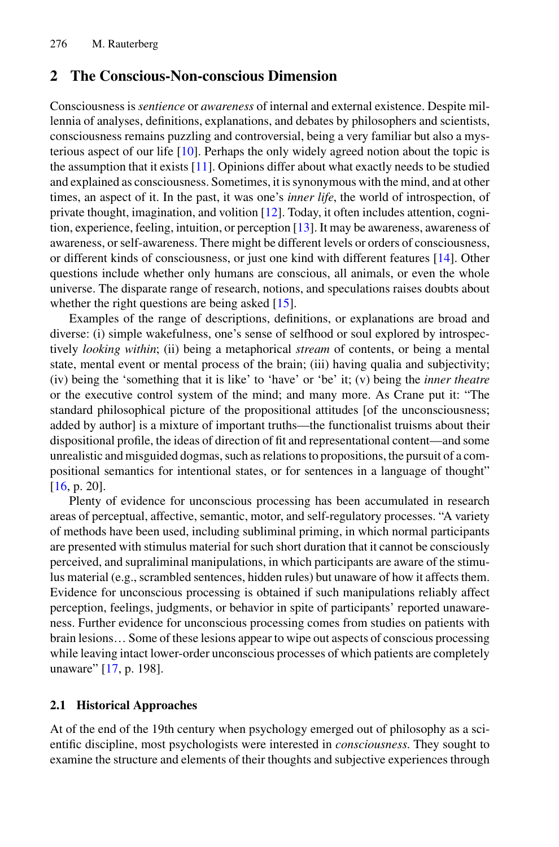# **2 The Conscious-Non-conscious Dimension**

Consciousness is *sentience* or *awareness* of internal and external existence. Despite millennia of analyses, definitions, explanations, and debates by philosophers and scientists, consciousness remains puzzling and controversial, being a very familiar but also a mysterious aspect of our life [10]. Perhaps the only widely agreed notion about the topic is the assumption that it exists [11]. Opinions differ about what exactly needs to be studied and explained as consciousness. Sometimes, it is synonymous with the mind, and at other times, an aspect of it. In the past, it was one's *inner life*, the world of introspection, of private thought, imagination, and volition [12]. Today, it often includes attention, cognition, experience, feeling, intuition, or perception [13]. It may be awareness, awareness of awareness, or self-awareness. There might be different levels or orders of consciousness, or different kinds of consciousness, or just one kind with different features [14]. Other questions include whether only humans are conscious, all animals, or even the whole universe. The disparate range of research, notions, and speculations raises doubts about whether the right questions are being asked [15].

Examples of the range of descriptions, definitions, or explanations are broad and diverse: (i) simple wakefulness, one's sense of selfhood or soul explored by introspectively *looking within*; (ii) being a metaphorical *stream* of contents, or being a mental state, mental event or mental process of the brain; (iii) having qualia and subjectivity; (iv) being the 'something that it is like' to 'have' or 'be' it; (v) being the *inner theatre* or the executive control system of the mind; and many more. As Crane put it: "The standard philosophical picture of the propositional attitudes [of the unconsciousness; added by author] is a mixture of important truths—the functionalist truisms about their dispositional profile, the ideas of direction of fit and representational content—and some unrealistic and misguided dogmas, such as relations to propositions, the pursuit of a compositional semantics for intentional states, or for sentences in a language of thought" [16, p. 20].

Plenty of evidence for unconscious processing has been accumulated in research areas of perceptual, affective, semantic, motor, and self-regulatory processes. "A variety of methods have been used, including subliminal priming, in which normal participants are presented with stimulus material for such short duration that it cannot be consciously perceived, and supraliminal manipulations, in which participants are aware of the stimulus material (e.g., scrambled sentences, hidden rules) but unaware of how it affects them. Evidence for unconscious processing is obtained if such manipulations reliably affect perception, feelings, judgments, or behavior in spite of participants' reported unawareness. Further evidence for unconscious processing comes from studies on patients with brain lesions… Some of these lesions appear to wipe out aspects of conscious processing while leaving intact lower-order unconscious processes of which patients are completely unaware" [17, p. 198].

#### **2.1 Historical Approaches**

At of the end of the 19th century when psychology emerged out of philosophy as a scientific discipline, most psychologists were interested in *consciousness*. They sought to examine the structure and elements of their thoughts and subjective experiences through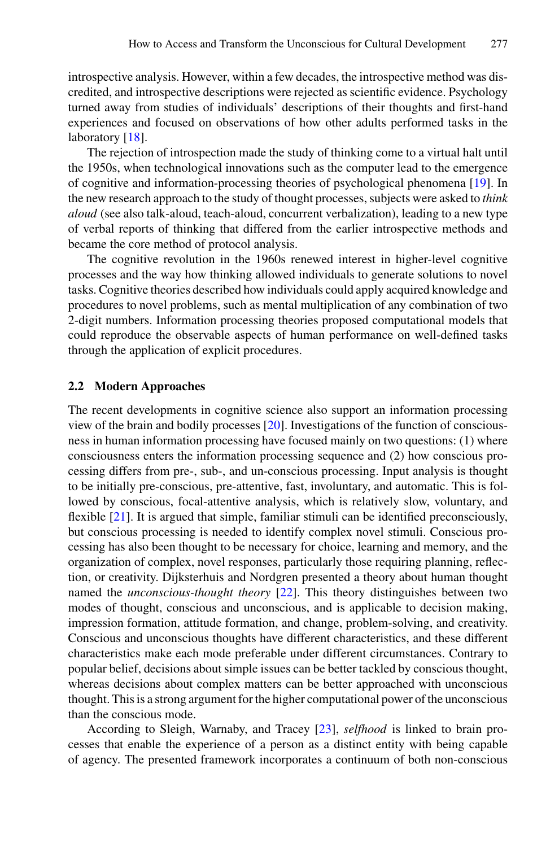introspective analysis. However, within a few decades, the introspective method was discredited, and introspective descriptions were rejected as scientific evidence. Psychology turned away from studies of individuals' descriptions of their thoughts and first-hand experiences and focused on observations of how other adults performed tasks in the laboratory [18].

The rejection of introspection made the study of thinking come to a virtual halt until the 1950s, when technological innovations such as the computer lead to the emergence of cognitive and information-processing theories of psychological phenomena [19]. In the new research approach to the study of thought processes, subjects were asked to *think aloud* (see also talk-aloud, teach-aloud, concurrent verbalization), leading to a new type of verbal reports of thinking that differed from the earlier introspective methods and became the core method of protocol analysis.

The cognitive revolution in the 1960s renewed interest in higher-level cognitive processes and the way how thinking allowed individuals to generate solutions to novel tasks. Cognitive theories described how individuals could apply acquired knowledge and procedures to novel problems, such as mental multiplication of any combination of two 2-digit numbers. Information processing theories proposed computational models that could reproduce the observable aspects of human performance on well-defined tasks through the application of explicit procedures.

#### **2.2 Modern Approaches**

The recent developments in cognitive science also support an information processing view of the brain and bodily processes [20]. Investigations of the function of consciousness in human information processing have focused mainly on two questions: (1) where consciousness enters the information processing sequence and (2) how conscious processing differs from pre-, sub-, and un-conscious processing. Input analysis is thought to be initially pre-conscious, pre-attentive, fast, involuntary, and automatic. This is followed by conscious, focal-attentive analysis, which is relatively slow, voluntary, and flexible [21]. It is argued that simple, familiar stimuli can be identified preconsciously, but conscious processing is needed to identify complex novel stimuli. Conscious processing has also been thought to be necessary for choice, learning and memory, and the organization of complex, novel responses, particularly those requiring planning, reflection, or creativity. Dijksterhuis and Nordgren presented a theory about human thought named the *unconscious-thought theory* [22]. This theory distinguishes between two modes of thought, conscious and unconscious, and is applicable to decision making, impression formation, attitude formation, and change, problem-solving, and creativity. Conscious and unconscious thoughts have different characteristics, and these different characteristics make each mode preferable under different circumstances. Contrary to popular belief, decisions about simple issues can be better tackled by conscious thought, whereas decisions about complex matters can be better approached with unconscious thought. This is a strong argument for the higher computational power of the unconscious than the conscious mode.

According to Sleigh, Warnaby, and Tracey [23], *selfhood* is linked to brain processes that enable the experience of a person as a distinct entity with being capable of agency. The presented framework incorporates a continuum of both non-conscious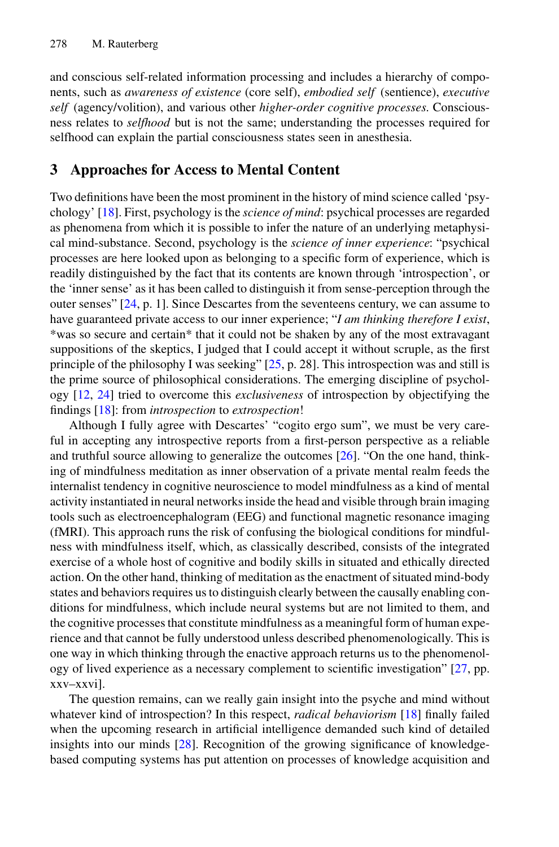and conscious self-related information processing and includes a hierarchy of components, such as *awareness of existence* (core self), *embodied self* (sentience), *executive self* (agency/volition), and various other *higher-order cognitive processes*. Consciousness relates to *selfhood* but is not the same; understanding the processes required for selfhood can explain the partial consciousness states seen in anesthesia.

## **3 Approaches for Access to Mental Content**

Two definitions have been the most prominent in the history of mind science called 'psychology' [18]. First, psychology is the *science of mind*: psychical processes are regarded as phenomena from which it is possible to infer the nature of an underlying metaphysical mind-substance. Second, psychology is the *science of inner experience*: "psychical processes are here looked upon as belonging to a specific form of experience, which is readily distinguished by the fact that its contents are known through 'introspection', or the 'inner sense' as it has been called to distinguish it from sense-perception through the outer senses" [24, p. 1]. Since Descartes from the seventeens century, we can assume to have guaranteed private access to our inner experience; "*I am thinking therefore I exist*, \*was so secure and certain\* that it could not be shaken by any of the most extravagant suppositions of the skeptics, I judged that I could accept it without scruple, as the first principle of the philosophy I was seeking"  $[25, p. 28]$ . This introspection was and still is the prime source of philosophical considerations. The emerging discipline of psychology [12, 24] tried to overcome this *exclusiveness* of introspection by objectifying the findings [18]: from *introspection* to *extrospection*!

Although I fully agree with Descartes' "cogito ergo sum", we must be very careful in accepting any introspective reports from a first-person perspective as a reliable and truthful source allowing to generalize the outcomes [26]. "On the one hand, thinking of mindfulness meditation as inner observation of a private mental realm feeds the internalist tendency in cognitive neuroscience to model mindfulness as a kind of mental activity instantiated in neural networks inside the head and visible through brain imaging tools such as electroencephalogram (EEG) and functional magnetic resonance imaging (fMRI). This approach runs the risk of confusing the biological conditions for mindfulness with mindfulness itself, which, as classically described, consists of the integrated exercise of a whole host of cognitive and bodily skills in situated and ethically directed action. On the other hand, thinking of meditation as the enactment of situated mind-body states and behaviors requires us to distinguish clearly between the causally enabling conditions for mindfulness, which include neural systems but are not limited to them, and the cognitive processes that constitute mindfulness as a meaningful form of human experience and that cannot be fully understood unless described phenomenologically. This is one way in which thinking through the enactive approach returns us to the phenomenology of lived experience as a necessary complement to scientific investigation" [27, pp. xxv–xxvi].

The question remains, can we really gain insight into the psyche and mind without whatever kind of introspection? In this respect, *radical behaviorism* [18] finally failed when the upcoming research in artificial intelligence demanded such kind of detailed insights into our minds [28]. Recognition of the growing significance of knowledgebased computing systems has put attention on processes of knowledge acquisition and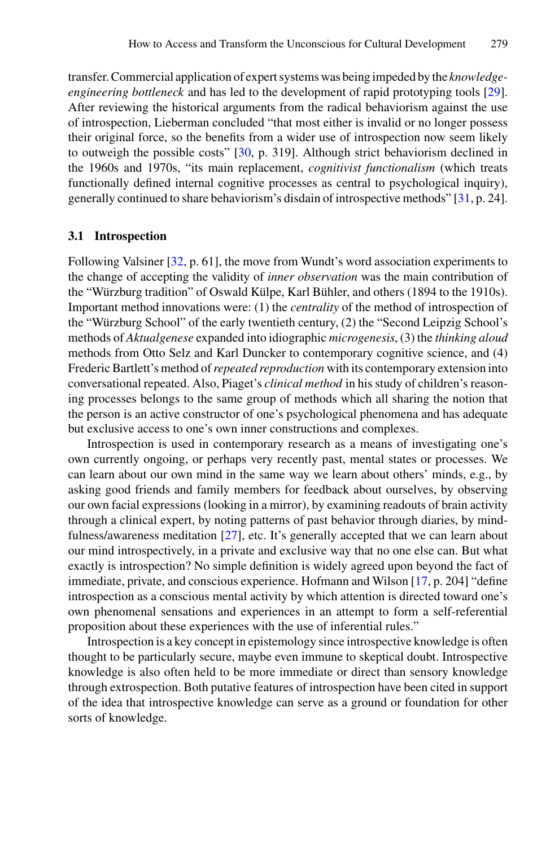transfer. Commercial application of expert systems was being impeded by the *knowledgeengineering bottleneck* and has led to the development of rapid prototyping tools [29]. After reviewing the historical arguments from the radical behaviorism against the use of introspection, Lieberman concluded "that most either is invalid or no longer possess their original force, so the benefits from a wider use of introspection now seem likely to outweigh the possible costs" [30, p. 319]. Although strict behaviorism declined in the 1960s and 1970s, "its main replacement, *cognitivist functionalism* (which treats functionally defined internal cognitive processes as central to psychological inquiry), generally continued to share behaviorism's disdain of introspective methods" [31, p. 24].

#### **3.1 Introspection**

Following Valsiner [32, p. 61], the move from Wundt's word association experiments to the change of accepting the validity of *inner observation* was the main contribution of the "Würzburg tradition" of Oswald Külpe, Karl Bühler, and others (1894 to the 1910s). Important method innovations were: (1) the *centrality* of the method of introspection of the "Würzburg School" of the early twentieth century, (2) the "Second Leipzig School's methods of *Aktualgenese* expanded into idiographic *microgenesis*, (3) the *thinking aloud* methods from Otto Selz and Karl Duncker to contemporary cognitive science, and (4) Frederic Bartlett's method of*repeated reproduction* with its contemporary extension into conversational repeated. Also, Piaget's *clinical method* in his study of children's reasoning processes belongs to the same group of methods which all sharing the notion that the person is an active constructor of one's psychological phenomena and has adequate but exclusive access to one's own inner constructions and complexes.

Introspection is used in contemporary research as a means of investigating one's own currently ongoing, or perhaps very recently past, mental states or processes. We can learn about our own mind in the same way we learn about others' minds, e.g., by asking good friends and family members for feedback about ourselves, by observing our own facial expressions (looking in a mirror), by examining readouts of brain activity through a clinical expert, by noting patterns of past behavior through diaries, by mindfulness/awareness meditation [27], etc. It's generally accepted that we can learn about our mind introspectively, in a private and exclusive way that no one else can. But what exactly is introspection? No simple definition is widely agreed upon beyond the fact of immediate, private, and conscious experience. Hofmann and Wilson [17, p. 204] "define introspection as a conscious mental activity by which attention is directed toward one's own phenomenal sensations and experiences in an attempt to form a self-referential proposition about these experiences with the use of inferential rules."

Introspection is a key concept in epistemology since introspective knowledge is often thought to be particularly secure, maybe even immune to skeptical doubt. Introspective knowledge is also often held to be more immediate or direct than sensory knowledge through extrospection. Both putative features of introspection have been cited in support of the idea that introspective knowledge can serve as a ground or foundation for other sorts of knowledge.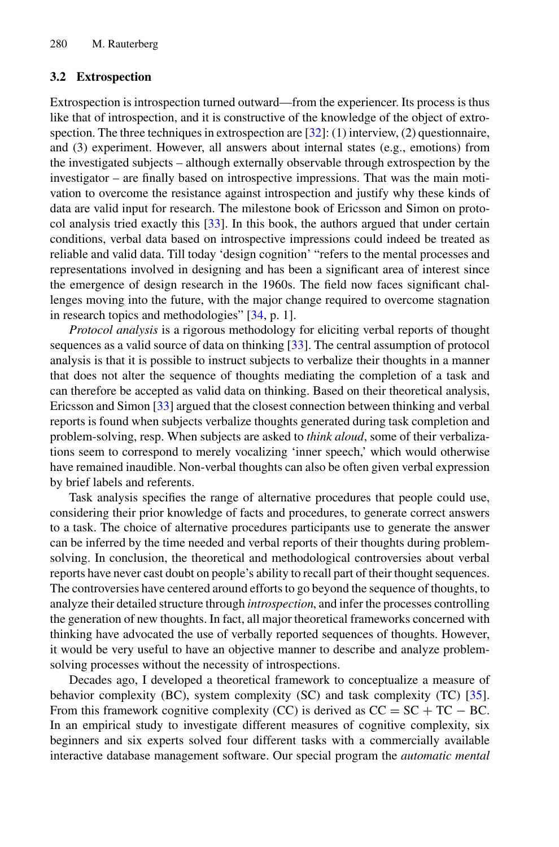#### **3.2 Extrospection**

Extrospection is introspection turned outward—from the experiencer. Its process is thus like that of introspection, and it is constructive of the knowledge of the object of extrospection. The three techniques in extrospection are  $[32]$ : (1) interview, (2) questionnaire, and (3) experiment. However, all answers about internal states (e.g., emotions) from the investigated subjects – although externally observable through extrospection by the investigator – are finally based on introspective impressions. That was the main motivation to overcome the resistance against introspection and justify why these kinds of data are valid input for research. The milestone book of Ericsson and Simon on protocol analysis tried exactly this [33]. In this book, the authors argued that under certain conditions, verbal data based on introspective impressions could indeed be treated as reliable and valid data. Till today 'design cognition' "refers to the mental processes and representations involved in designing and has been a significant area of interest since the emergence of design research in the 1960s. The field now faces significant challenges moving into the future, with the major change required to overcome stagnation in research topics and methodologies" [34, p. 1].

*Protocol analysis* is a rigorous methodology for eliciting verbal reports of thought sequences as a valid source of data on thinking [33]. The central assumption of protocol analysis is that it is possible to instruct subjects to verbalize their thoughts in a manner that does not alter the sequence of thoughts mediating the completion of a task and can therefore be accepted as valid data on thinking. Based on their theoretical analysis, Ericsson and Simon [33] argued that the closest connection between thinking and verbal reports is found when subjects verbalize thoughts generated during task completion and problem-solving, resp. When subjects are asked to *think aloud*, some of their verbalizations seem to correspond to merely vocalizing 'inner speech,' which would otherwise have remained inaudible. Non-verbal thoughts can also be often given verbal expression by brief labels and referents.

Task analysis specifies the range of alternative procedures that people could use, considering their prior knowledge of facts and procedures, to generate correct answers to a task. The choice of alternative procedures participants use to generate the answer can be inferred by the time needed and verbal reports of their thoughts during problemsolving. In conclusion, the theoretical and methodological controversies about verbal reports have never cast doubt on people's ability to recall part of their thought sequences. The controversies have centered around efforts to go beyond the sequence of thoughts, to analyze their detailed structure through *introspection*, and infer the processes controlling the generation of new thoughts. In fact, all major theoretical frameworks concerned with thinking have advocated the use of verbally reported sequences of thoughts. However, it would be very useful to have an objective manner to describe and analyze problemsolving processes without the necessity of introspections.

Decades ago, I developed a theoretical framework to conceptualize a measure of behavior complexity (BC), system complexity (SC) and task complexity (TC) [35]. From this framework cognitive complexity (CC) is derived as  $CC = SC + TC - BC$ . In an empirical study to investigate different measures of cognitive complexity, six beginners and six experts solved four different tasks with a commercially available interactive database management software. Our special program the *automatic mental*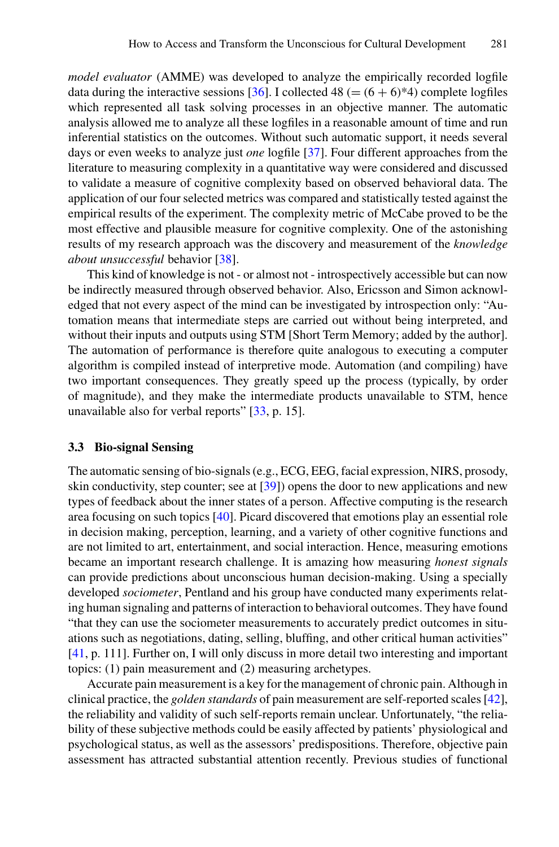*model evaluator* (AMME) was developed to analyze the empirically recorded logfile data during the interactive sessions [36]. I collected 48 (=  $(6 + 6)^*$ 4) complete logfiles which represented all task solving processes in an objective manner. The automatic analysis allowed me to analyze all these logfiles in a reasonable amount of time and run inferential statistics on the outcomes. Without such automatic support, it needs several days or even weeks to analyze just *one* logfile [37]. Four different approaches from the literature to measuring complexity in a quantitative way were considered and discussed to validate a measure of cognitive complexity based on observed behavioral data. The application of our four selected metrics was compared and statistically tested against the empirical results of the experiment. The complexity metric of McCabe proved to be the most effective and plausible measure for cognitive complexity. One of the astonishing results of my research approach was the discovery and measurement of the *knowledge about unsuccessful* behavior [38].

This kind of knowledge is not - or almost not - introspectively accessible but can now be indirectly measured through observed behavior. Also, Ericsson and Simon acknowledged that not every aspect of the mind can be investigated by introspection only: "Automation means that intermediate steps are carried out without being interpreted, and without their inputs and outputs using STM [Short Term Memory; added by the author]. The automation of performance is therefore quite analogous to executing a computer algorithm is compiled instead of interpretive mode. Automation (and compiling) have two important consequences. They greatly speed up the process (typically, by order of magnitude), and they make the intermediate products unavailable to STM, hence unavailable also for verbal reports" [33, p. 15].

#### **3.3 Bio-signal Sensing**

The automatic sensing of bio-signals (e.g., ECG, EEG, facial expression, NIRS, prosody, skin conductivity, step counter; see at [39]) opens the door to new applications and new types of feedback about the inner states of a person. Affective computing is the research area focusing on such topics [40]. Picard discovered that emotions play an essential role in decision making, perception, learning, and a variety of other cognitive functions and are not limited to art, entertainment, and social interaction. Hence, measuring emotions became an important research challenge. It is amazing how measuring *honest signals* can provide predictions about unconscious human decision-making. Using a specially developed *sociometer*, Pentland and his group have conducted many experiments relating human signaling and patterns of interaction to behavioral outcomes. They have found "that they can use the sociometer measurements to accurately predict outcomes in situations such as negotiations, dating, selling, bluffing, and other critical human activities" [41, p. 111]. Further on, I will only discuss in more detail two interesting and important topics: (1) pain measurement and (2) measuring archetypes.

Accurate pain measurement is a key for the management of chronic pain. Although in clinical practice, the *golden standards* of pain measurement are self-reported scales [42], the reliability and validity of such self-reports remain unclear. Unfortunately, "the reliability of these subjective methods could be easily affected by patients' physiological and psychological status, as well as the assessors' predispositions. Therefore, objective pain assessment has attracted substantial attention recently. Previous studies of functional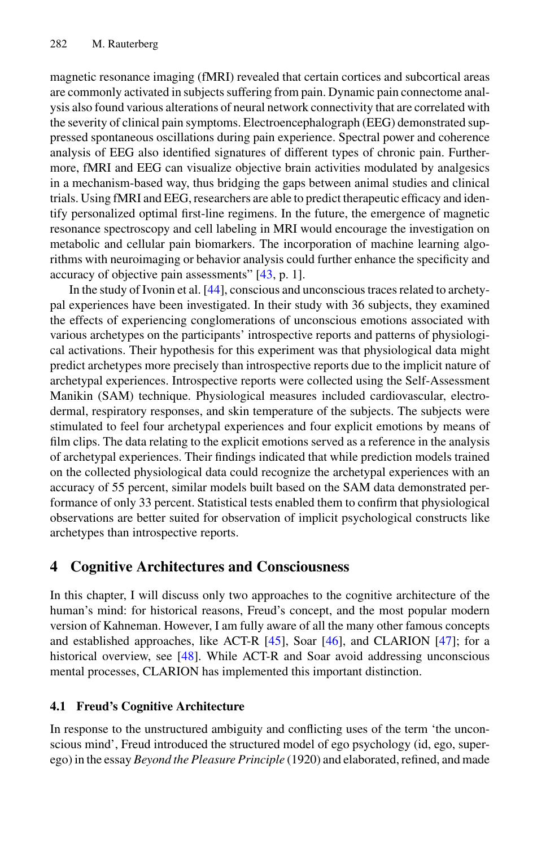magnetic resonance imaging (fMRI) revealed that certain cortices and subcortical areas are commonly activated in subjects suffering from pain. Dynamic pain connectome analysis also found various alterations of neural network connectivity that are correlated with the severity of clinical pain symptoms. Electroencephalograph (EEG) demonstrated suppressed spontaneous oscillations during pain experience. Spectral power and coherence analysis of EEG also identified signatures of different types of chronic pain. Furthermore, fMRI and EEG can visualize objective brain activities modulated by analgesics in a mechanism-based way, thus bridging the gaps between animal studies and clinical trials. Using fMRI and EEG, researchers are able to predict therapeutic efficacy and identify personalized optimal first-line regimens. In the future, the emergence of magnetic resonance spectroscopy and cell labeling in MRI would encourage the investigation on metabolic and cellular pain biomarkers. The incorporation of machine learning algorithms with neuroimaging or behavior analysis could further enhance the specificity and accuracy of objective pain assessments" [43, p. 1].

In the study of Ivonin et al. [44], conscious and unconscious traces related to archetypal experiences have been investigated. In their study with 36 subjects, they examined the effects of experiencing conglomerations of unconscious emotions associated with various archetypes on the participants' introspective reports and patterns of physiological activations. Their hypothesis for this experiment was that physiological data might predict archetypes more precisely than introspective reports due to the implicit nature of archetypal experiences. Introspective reports were collected using the Self-Assessment Manikin (SAM) technique. Physiological measures included cardiovascular, electrodermal, respiratory responses, and skin temperature of the subjects. The subjects were stimulated to feel four archetypal experiences and four explicit emotions by means of film clips. The data relating to the explicit emotions served as a reference in the analysis of archetypal experiences. Their findings indicated that while prediction models trained on the collected physiological data could recognize the archetypal experiences with an accuracy of 55 percent, similar models built based on the SAM data demonstrated performance of only 33 percent. Statistical tests enabled them to confirm that physiological observations are better suited for observation of implicit psychological constructs like archetypes than introspective reports.

# **4 Cognitive Architectures and Consciousness**

In this chapter, I will discuss only two approaches to the cognitive architecture of the human's mind: for historical reasons, Freud's concept, and the most popular modern version of Kahneman. However, I am fully aware of all the many other famous concepts and established approaches, like ACT-R  $[45]$ , Soar  $[46]$ , and CLARION  $[47]$ ; for a historical overview, see [48]. While ACT-R and Soar avoid addressing unconscious mental processes, CLARION has implemented this important distinction.

# **4.1 Freud's Cognitive Architecture**

In response to the unstructured ambiguity and conflicting uses of the term 'the unconscious mind', Freud introduced the structured model of ego psychology (id, ego, superego) in the essay *Beyond the Pleasure Principle* (1920) and elaborated, refined, and made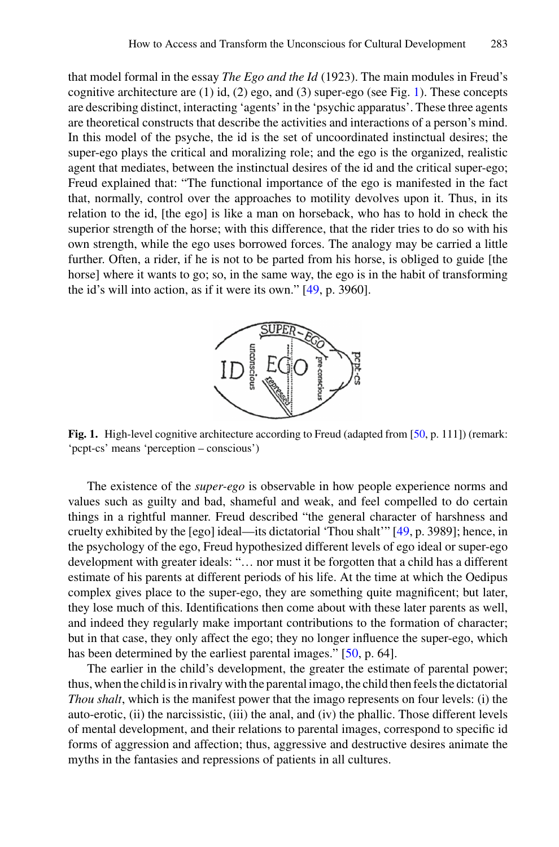that model formal in the essay *The Ego and the Id* (1923). The main modules in Freud's cognitive architecture are  $(1)$  id,  $(2)$  ego, and  $(3)$  super-ego (see Fig. 1). These concepts are describing distinct, interacting 'agents' in the 'psychic apparatus'. These three agents are theoretical constructs that describe the activities and interactions of a person's mind. In this model of the psyche, the id is the set of uncoordinated instinctual desires; the super-ego plays the critical and moralizing role; and the ego is the organized, realistic agent that mediates, between the instinctual desires of the id and the critical super-ego; Freud explained that: "The functional importance of the ego is manifested in the fact that, normally, control over the approaches to motility devolves upon it. Thus, in its relation to the id, [the ego] is like a man on horseback, who has to hold in check the superior strength of the horse; with this difference, that the rider tries to do so with his own strength, while the ego uses borrowed forces. The analogy may be carried a little further. Often, a rider, if he is not to be parted from his horse, is obliged to guide [the horse] where it wants to go; so, in the same way, the ego is in the habit of transforming the id's will into action, as if it were its own." [49, p. 3960].



**Fig. 1.** High-level cognitive architecture according to Freud (adapted from [50, p. 111]) (remark: 'pcpt-cs' means 'perception – conscious')

The existence of the *super-ego* is observable in how people experience norms and values such as guilty and bad, shameful and weak, and feel compelled to do certain things in a rightful manner. Freud described "the general character of harshness and cruelty exhibited by the [ego] ideal—its dictatorial 'Thou shalt'" [49, p. 3989]; hence, in the psychology of the ego, Freud hypothesized different levels of ego ideal or super-ego development with greater ideals: "… nor must it be forgotten that a child has a different estimate of his parents at different periods of his life. At the time at which the Oedipus complex gives place to the super-ego, they are something quite magnificent; but later, they lose much of this. Identifications then come about with these later parents as well, and indeed they regularly make important contributions to the formation of character; but in that case, they only affect the ego; they no longer influence the super-ego, which has been determined by the earliest parental images." [50, p. 64].

The earlier in the child's development, the greater the estimate of parental power; thus, when the child is in rivalry with the parental imago, the child then feels the dictatorial *Thou shalt*, which is the manifest power that the imago represents on four levels: (i) the auto-erotic, (ii) the narcissistic, (iii) the anal, and (iv) the phallic. Those different levels of mental development, and their relations to parental images, correspond to specific id forms of aggression and affection; thus, aggressive and destructive desires animate the myths in the fantasies and repressions of patients in all cultures.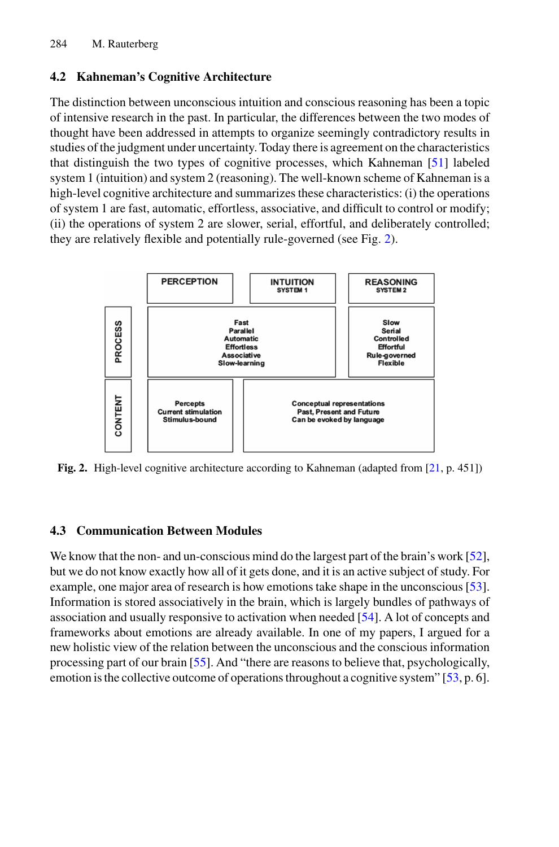### **4.2 Kahneman's Cognitive Architecture**

The distinction between unconscious intuition and conscious reasoning has been a topic of intensive research in the past. In particular, the differences between the two modes of thought have been addressed in attempts to organize seemingly contradictory results in studies of the judgment under uncertainty. Today there is agreement on the characteristics that distinguish the two types of cognitive processes, which Kahneman [51] labeled system 1 (intuition) and system 2 (reasoning). The well-known scheme of Kahneman is a high-level cognitive architecture and summarizes these characteristics: (i) the operations of system 1 are fast, automatic, effortless, associative, and difficult to control or modify; (ii) the operations of system 2 are slower, serial, effortful, and deliberately controlled; they are relatively flexible and potentially rule-governed (see Fig. 2).



**Fig. 2.** High-level cognitive architecture according to Kahneman (adapted from [21, p. 451])

### **4.3 Communication Between Modules**

We know that the non- and un-conscious mind do the largest part of the brain's work [52], but we do not know exactly how all of it gets done, and it is an active subject of study. For example, one major area of research is how emotions take shape in the unconscious [53]. Information is stored associatively in the brain, which is largely bundles of pathways of association and usually responsive to activation when needed [54]. A lot of concepts and frameworks about emotions are already available. In one of my papers, I argued for a new holistic view of the relation between the unconscious and the conscious information processing part of our brain [55]. And "there are reasons to believe that, psychologically, emotion is the collective outcome of operations throughout a cognitive system" [53, p. 6].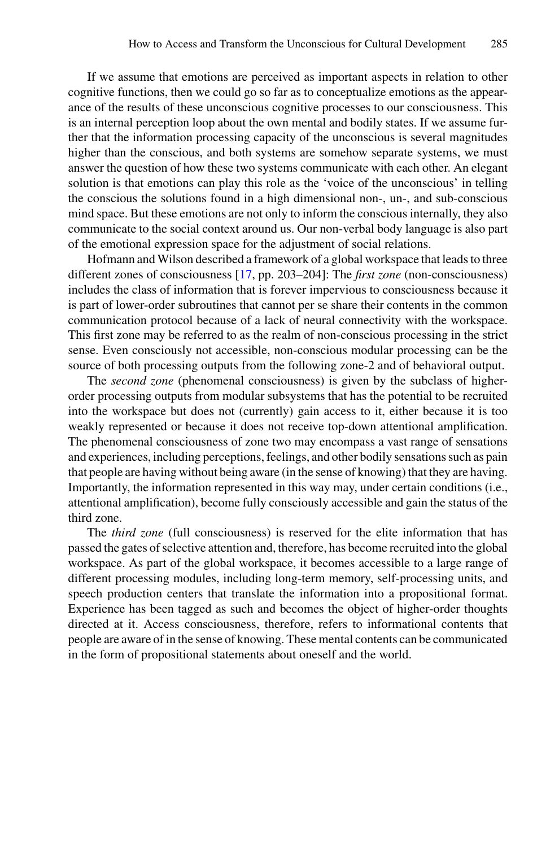If we assume that emotions are perceived as important aspects in relation to other cognitive functions, then we could go so far as to conceptualize emotions as the appearance of the results of these unconscious cognitive processes to our consciousness. This is an internal perception loop about the own mental and bodily states. If we assume further that the information processing capacity of the unconscious is several magnitudes higher than the conscious, and both systems are somehow separate systems, we must answer the question of how these two systems communicate with each other. An elegant solution is that emotions can play this role as the 'voice of the unconscious' in telling the conscious the solutions found in a high dimensional non-, un-, and sub-conscious mind space. But these emotions are not only to inform the conscious internally, they also communicate to the social context around us. Our non-verbal body language is also part of the emotional expression space for the adjustment of social relations.

Hofmann and Wilson described a framework of a global workspace that leads to three different zones of consciousness [17, pp. 203–204]: The *first zone* (non-consciousness) includes the class of information that is forever impervious to consciousness because it is part of lower-order subroutines that cannot per se share their contents in the common communication protocol because of a lack of neural connectivity with the workspace. This first zone may be referred to as the realm of non-conscious processing in the strict sense. Even consciously not accessible, non-conscious modular processing can be the source of both processing outputs from the following zone-2 and of behavioral output.

The *second zone* (phenomenal consciousness) is given by the subclass of higherorder processing outputs from modular subsystems that has the potential to be recruited into the workspace but does not (currently) gain access to it, either because it is too weakly represented or because it does not receive top-down attentional amplification. The phenomenal consciousness of zone two may encompass a vast range of sensations and experiences, including perceptions, feelings, and other bodily sensations such as pain that people are having without being aware (in the sense of knowing) that they are having. Importantly, the information represented in this way may, under certain conditions (i.e., attentional amplification), become fully consciously accessible and gain the status of the third zone.

The *third zone* (full consciousness) is reserved for the elite information that has passed the gates of selective attention and, therefore, has become recruited into the global workspace. As part of the global workspace, it becomes accessible to a large range of different processing modules, including long-term memory, self-processing units, and speech production centers that translate the information into a propositional format. Experience has been tagged as such and becomes the object of higher-order thoughts directed at it. Access consciousness, therefore, refers to informational contents that people are aware of in the sense of knowing. These mental contents can be communicated in the form of propositional statements about oneself and the world.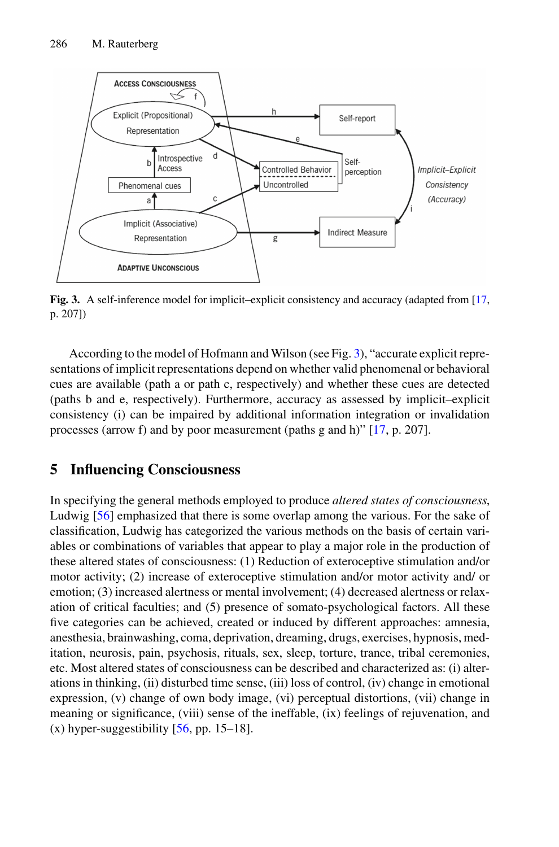

**Fig. 3.** A self-inference model for implicit–explicit consistency and accuracy (adapted from [17, p. 207])

According to the model of Hofmann and Wilson (see Fig. 3), "accurate explicit representations of implicit representations depend on whether valid phenomenal or behavioral cues are available (path a or path c, respectively) and whether these cues are detected (paths b and e, respectively). Furthermore, accuracy as assessed by implicit–explicit consistency (i) can be impaired by additional information integration or invalidation processes (arrow f) and by poor measurement (paths g and h)" [17, p. 207].

# **5 Influencing Consciousness**

In specifying the general methods employed to produce *altered states of consciousness*, Ludwig [56] emphasized that there is some overlap among the various. For the sake of classification, Ludwig has categorized the various methods on the basis of certain variables or combinations of variables that appear to play a major role in the production of these altered states of consciousness: (1) Reduction of exteroceptive stimulation and/or motor activity; (2) increase of exteroceptive stimulation and/or motor activity and/ or emotion; (3) increased alertness or mental involvement; (4) decreased alertness or relaxation of critical faculties; and (5) presence of somato-psychological factors. All these five categories can be achieved, created or induced by different approaches: amnesia, anesthesia, brainwashing, coma, deprivation, dreaming, drugs, exercises, hypnosis, meditation, neurosis, pain, psychosis, rituals, sex, sleep, torture, trance, tribal ceremonies, etc. Most altered states of consciousness can be described and characterized as: (i) alterations in thinking, (ii) disturbed time sense, (iii) loss of control, (iv) change in emotional expression, (v) change of own body image, (vi) perceptual distortions, (vii) change in meaning or significance, (viii) sense of the ineffable, (ix) feelings of rejuvenation, and  $(x)$  hyper-suggestibility  $[56, pp. 15-18]$ .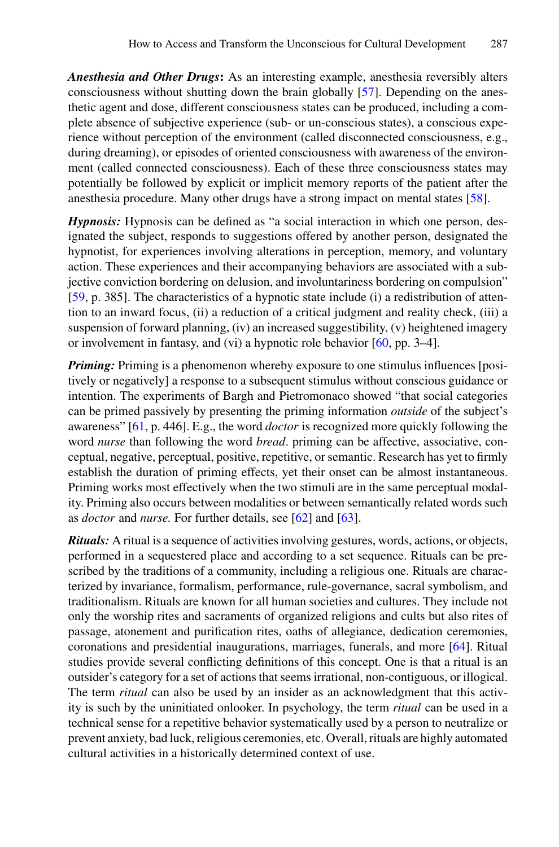*Anesthesia and Other Drugs***:** As an interesting example, anesthesia reversibly alters consciousness without shutting down the brain globally [57]. Depending on the anesthetic agent and dose, different consciousness states can be produced, including a complete absence of subjective experience (sub- or un-conscious states), a conscious experience without perception of the environment (called disconnected consciousness, e.g., during dreaming), or episodes of oriented consciousness with awareness of the environment (called connected consciousness). Each of these three consciousness states may potentially be followed by explicit or implicit memory reports of the patient after the anesthesia procedure. Many other drugs have a strong impact on mental states [58].

*Hypnosis:* Hypnosis can be defined as "a social interaction in which one person, designated the subject, responds to suggestions offered by another person, designated the hypnotist, for experiences involving alterations in perception, memory, and voluntary action. These experiences and their accompanying behaviors are associated with a subjective conviction bordering on delusion, and involuntariness bordering on compulsion" [59, p. 385]. The characteristics of a hypnotic state include (i) a redistribution of attention to an inward focus, (ii) a reduction of a critical judgment and reality check, (iii) a suspension of forward planning, (iv) an increased suggestibility, (v) heightened imagery or involvement in fantasy, and (vi) a hypnotic role behavior [60, pp. 3–4].

*Priming:* Priming is a phenomenon whereby exposure to one stimulus influences [positively or negatively] a response to a subsequent stimulus without conscious guidance or intention. The experiments of Bargh and Pietromonaco showed "that social categories can be primed passively by presenting the priming information *outside* of the subject's awareness" [61, p. 446]. E.g., the word *doctor* is recognized more quickly following the word *nurse* than following the word *bread*. priming can be affective, associative, conceptual, negative, perceptual, positive, repetitive, or semantic. Research has yet to firmly establish the duration of priming effects, yet their onset can be almost instantaneous. Priming works most effectively when the two stimuli are in the same perceptual modality. Priming also occurs between modalities or between semantically related words such as *doctor* and *nurse.* For further details, see [62] and [63].

*Rituals:* A ritual is a sequence of activities involving gestures, words, actions, or objects, performed in a sequestered place and according to a set sequence. Rituals can be prescribed by the traditions of a community, including a religious one. Rituals are characterized by invariance, formalism, performance, rule-governance, sacral symbolism, and traditionalism. Rituals are known for all human societies and cultures. They include not only the worship rites and sacraments of organized religions and cults but also rites of passage, atonement and purification rites, oaths of allegiance, dedication ceremonies, coronations and presidential inaugurations, marriages, funerals, and more [64]. Ritual studies provide several conflicting definitions of this concept. One is that a ritual is an outsider's category for a set of actions that seems irrational, non-contiguous, or illogical. The term *ritual* can also be used by an insider as an acknowledgment that this activity is such by the uninitiated onlooker. In psychology, the term *ritual* can be used in a technical sense for a repetitive behavior systematically used by a person to neutralize or prevent anxiety, bad luck, religious ceremonies, etc. Overall, rituals are highly automated cultural activities in a historically determined context of use.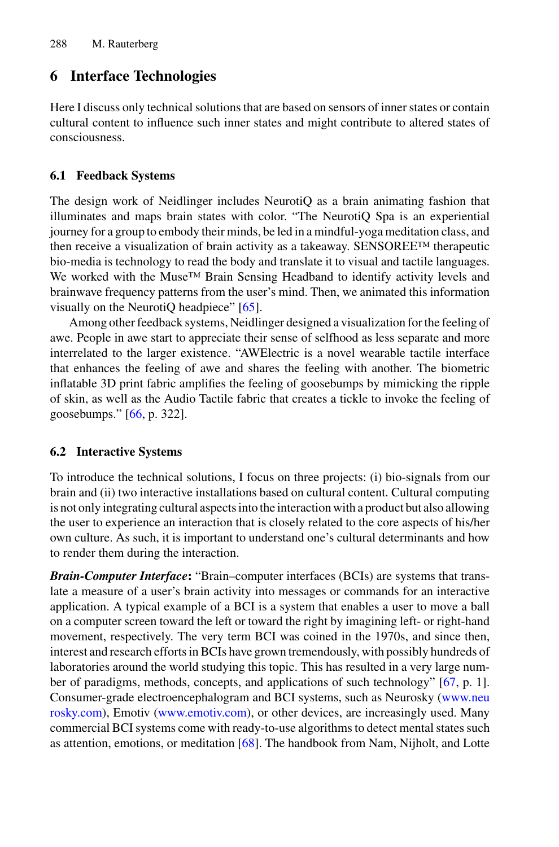# **6 Interface Technologies**

Here I discuss only technical solutions that are based on sensors of inner states or contain cultural content to influence such inner states and might contribute to altered states of consciousness.

## **6.1 Feedback Systems**

The design work of Neidlinger includes NeurotiQ as a brain animating fashion that illuminates and maps brain states with color. "The NeurotiQ Spa is an experiential journey for a group to embody their minds, be led in a mindful-yoga meditation class, and then receive a visualization of brain activity as a takeaway. SENSOREE™ therapeutic bio-media is technology to read the body and translate it to visual and tactile languages. We worked with the Muse™ Brain Sensing Headband to identify activity levels and brainwave frequency patterns from the user's mind. Then, we animated this information visually on the NeurotiQ headpiece" [65].

Among other feedback systems, Neidlinger designed a visualization for the feeling of awe. People in awe start to appreciate their sense of selfhood as less separate and more interrelated to the larger existence. "AWElectric is a novel wearable tactile interface that enhances the feeling of awe and shares the feeling with another. The biometric inflatable 3D print fabric amplifies the feeling of goosebumps by mimicking the ripple of skin, as well as the Audio Tactile fabric that creates a tickle to invoke the feeling of goosebumps." [66, p. 322].

### **6.2 Interactive Systems**

To introduce the technical solutions, I focus on three projects: (i) bio-signals from our brain and (ii) two interactive installations based on cultural content. Cultural computing is not only integrating cultural aspects into the interaction with a product but also allowing the user to experience an interaction that is closely related to the core aspects of his/her own culture. As such, it is important to understand one's cultural determinants and how to render them during the interaction.

*Brain-Computer Interface***:** "Brain–computer interfaces (BCIs) are systems that translate a measure of a user's brain activity into messages or commands for an interactive application. A typical example of a BCI is a system that enables a user to move a ball on a computer screen toward the left or toward the right by imagining left- or right-hand movement, respectively. The very term BCI was coined in the 1970s, and since then, interest and research efforts in BCIs have grown tremendously, with possibly hundreds of laboratories around the world studying this topic. This has resulted in a very large number of paradigms, methods, concepts, and applications of such technology" [67, p. 1]. Consumer-grade electroencephalogram and BCI systems, such as Neurosky (www.neu [rosky.com\), Emotiv \(www.emotiv.com\), or other devices, are increasingly used. Many](http://www.neurosky.com) commercial BCI systems come with ready-to-use algorithms to detect mental states such as attention, emotions, or meditation [68]. The handbook from Nam, Nijholt, and Lotte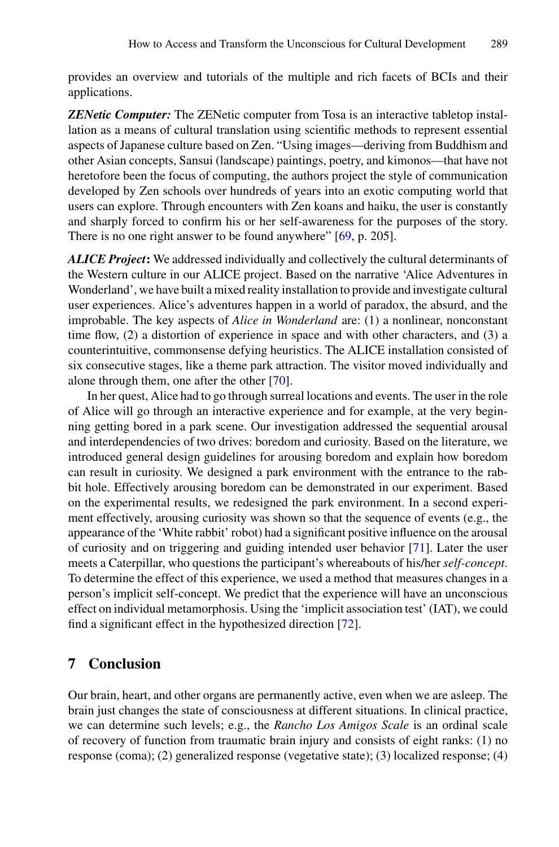provides an overview and tutorials of the multiple and rich facets of BCIs and their applications.

*ZENetic Computer:* The ZENetic computer from Tosa is an interactive tabletop installation as a means of cultural translation using scientific methods to represent essential aspects of Japanese culture based on Zen. "Using images—deriving from Buddhism and other Asian concepts, Sansui (landscape) paintings, poetry, and kimonos—that have not heretofore been the focus of computing, the authors project the style of communication developed by Zen schools over hundreds of years into an exotic computing world that users can explore. Through encounters with Zen koans and haiku, the user is constantly and sharply forced to confirm his or her self-awareness for the purposes of the story. There is no one right answer to be found anywhere" [69, p. 205].

*ALICE Project***:** We addressed individually and collectively the cultural determinants of the Western culture in our ALICE project. Based on the narrative 'Alice Adventures in Wonderland', we have built a mixed reality installation to provide and investigate cultural user experiences. Alice's adventures happen in a world of paradox, the absurd, and the improbable. The key aspects of *Alice in Wonderland* are: (1) a nonlinear, nonconstant time flow, (2) a distortion of experience in space and with other characters, and (3) a counterintuitive, commonsense defying heuristics. The ALICE installation consisted of six consecutive stages, like a theme park attraction. The visitor moved individually and alone through them, one after the other [70].

In her quest, Alice had to go through surreal locations and events. The user in the role of Alice will go through an interactive experience and for example, at the very beginning getting bored in a park scene. Our investigation addressed the sequential arousal and interdependencies of two drives: boredom and curiosity. Based on the literature, we introduced general design guidelines for arousing boredom and explain how boredom can result in curiosity. We designed a park environment with the entrance to the rabbit hole. Effectively arousing boredom can be demonstrated in our experiment. Based on the experimental results, we redesigned the park environment. In a second experiment effectively, arousing curiosity was shown so that the sequence of events (e.g., the appearance of the 'White rabbit' robot) had a significant positive influence on the arousal of curiosity and on triggering and guiding intended user behavior [71]. Later the user meets a Caterpillar, who questions the participant's whereabouts of his/her *self-concept*. To determine the effect of this experience, we used a method that measures changes in a person's implicit self-concept. We predict that the experience will have an unconscious effect on individual metamorphosis. Using the 'implicit association test' (IAT), we could find a significant effect in the hypothesized direction [72].

### **7 Conclusion**

Our brain, heart, and other organs are permanently active, even when we are asleep. The brain just changes the state of consciousness at different situations. In clinical practice, we can determine such levels; e.g., the *Rancho Los Amigos Scale* is an ordinal scale of recovery of function from traumatic brain injury and consists of eight ranks: (1) no response (coma); (2) generalized response (vegetative state); (3) localized response; (4)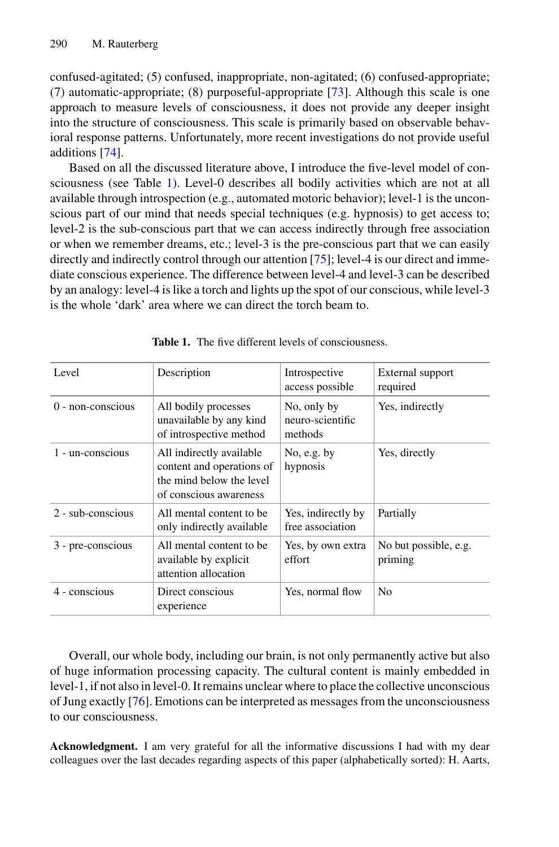confused-agitated; (5) confused, inappropriate, non-agitated; (6) confused-appropriate; (7) automatic-appropriate; (8) purposeful-appropriate [73]. Although this scale is one approach to measure levels of consciousness, it does not provide any deeper insight into the structure of consciousness. This scale is primarily based on observable behavioral response patterns. Unfortunately, more recent investigations do not provide useful additions [74].

Based on all the discussed literature above, I introduce the five-level model of consciousness (see Table 1). Level-0 describes all bodily activities which are not at all available through introspection (e.g., automated motoric behavior); level-1 is the unconscious part of our mind that needs special techniques (e.g. hypnosis) to get access to; level-2 is the sub-conscious part that we can access indirectly through free association or when we remember dreams, etc.; level-3 is the pre-conscious part that we can easily directly and indirectly control through our attention [75]; level-4 is our direct and immediate conscious experience. The difference between level-4 and level-3 can be described by an analogy: level-4 is like a torch and lights up the spot of our conscious, while level-3 is the whole 'dark' area where we can direct the torch beam to.

| Level               | Description                                                                                                 | Introspective<br>access possible           | External support<br>required     |
|---------------------|-------------------------------------------------------------------------------------------------------------|--------------------------------------------|----------------------------------|
| $0$ - non-conscious | All bodily processes<br>unavailable by any kind<br>of introspective method                                  | No, only by<br>neuro-scientific<br>methods | Yes, indirectly                  |
| 1 - un-conscious    | All indirectly available<br>content and operations of<br>the mind below the level<br>of conscious awareness | No, e.g. by<br>hypnosis                    | Yes, directly                    |
| 2 - sub-conscious   | All mental content to be<br>only indirectly available                                                       | Yes, indirectly by<br>free association     | Partially                        |
| 3 - pre-conscious   | All mental content to be<br>available by explicit<br>attention allocation                                   | Yes, by own extra<br>effort                | No but possible, e.g.<br>priming |
| 4 - conscious       | Direct conscious<br>experience                                                                              | Yes, normal flow                           | N <sub>0</sub>                   |

**Table 1.** The five different levels of consciousness.

Overall, our whole body, including our brain, is not only permanently active but also of huge information processing capacity. The cultural content is mainly embedded in level-1, if not also in level-0. It remains unclear where to place the collective unconscious of Jung exactly [76]. Emotions can be interpreted as messages from the unconsciousness to our consciousness.

**Acknowledgment.** I am very grateful for all the informative discussions I had with my dear colleagues over the last decades regarding aspects of this paper (alphabetically sorted): H. Aarts,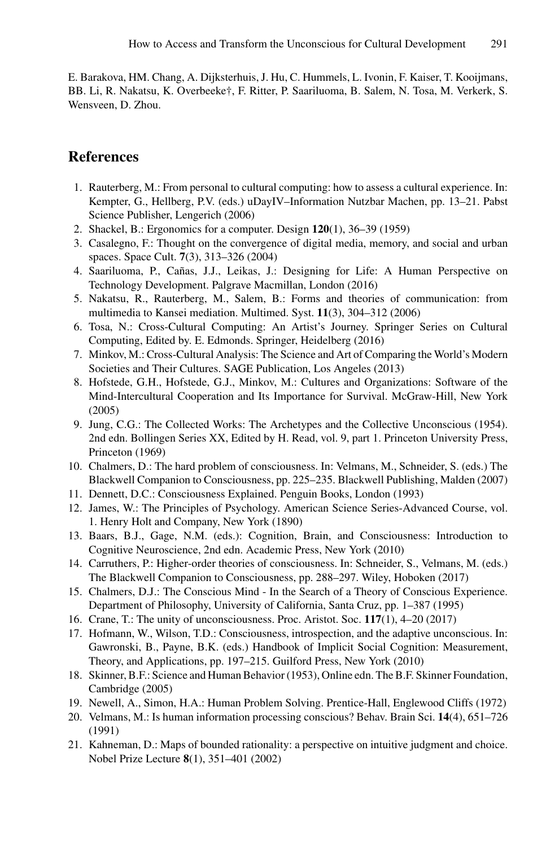E. Barakova, HM. Chang, A. Dijksterhuis, J. Hu, C. Hummels, L. Ivonin, F. Kaiser, T. Kooijmans, BB. Li, R. Nakatsu, K. Overbeeke†, F. Ritter, P. Saariluoma, B. Salem, N. Tosa, M. Verkerk, S. Wensveen, D. Zhou.

# **References**

- 1. Rauterberg, M.: From personal to cultural computing: how to assess a cultural experience. In: Kempter, G., Hellberg, P.V. (eds.) uDayIV–Information Nutzbar Machen, pp. 13–21. Pabst Science Publisher, Lengerich (2006)
- 2. Shackel, B.: Ergonomics for a computer. Design **120**(1), 36–39 (1959)
- 3. Casalegno, F.: Thought on the convergence of digital media, memory, and social and urban spaces. Space Cult. **7**(3), 313–326 (2004)
- 4. Saariluoma, P., Cañas, J.J., Leikas, J.: Designing for Life: A Human Perspective on Technology Development. Palgrave Macmillan, London (2016)
- 5. Nakatsu, R., Rauterberg, M., Salem, B.: Forms and theories of communication: from multimedia to Kansei mediation. Multimed. Syst. **11**(3), 304–312 (2006)
- 6. Tosa, N.: Cross-Cultural Computing: An Artist's Journey. Springer Series on Cultural Computing, Edited by. E. Edmonds. Springer, Heidelberg (2016)
- 7. Minkov, M.: Cross-Cultural Analysis: The Science and Art of Comparing the World's Modern Societies and Their Cultures. SAGE Publication, Los Angeles (2013)
- 8. Hofstede, G.H., Hofstede, G.J., Minkov, M.: Cultures and Organizations: Software of the Mind-Intercultural Cooperation and Its Importance for Survival. McGraw-Hill, New York (2005)
- 9. Jung, C.G.: The Collected Works: The Archetypes and the Collective Unconscious (1954). 2nd edn. Bollingen Series XX, Edited by H. Read, vol. 9, part 1. Princeton University Press, Princeton (1969)
- 10. Chalmers, D.: The hard problem of consciousness. In: Velmans, M., Schneider, S. (eds.) The Blackwell Companion to Consciousness, pp. 225–235. Blackwell Publishing, Malden (2007)
- 11. Dennett, D.C.: Consciousness Explained. Penguin Books, London (1993)
- 12. James, W.: The Principles of Psychology. American Science Series-Advanced Course, vol. 1. Henry Holt and Company, New York (1890)
- 13. Baars, B.J., Gage, N.M. (eds.): Cognition, Brain, and Consciousness: Introduction to Cognitive Neuroscience, 2nd edn. Academic Press, New York (2010)
- 14. Carruthers, P.: Higher-order theories of consciousness. In: Schneider, S., Velmans, M. (eds.) The Blackwell Companion to Consciousness, pp. 288–297. Wiley, Hoboken (2017)
- 15. Chalmers, D.J.: The Conscious Mind In the Search of a Theory of Conscious Experience. Department of Philosophy, University of California, Santa Cruz, pp. 1–387 (1995)
- 16. Crane, T.: The unity of unconsciousness. Proc. Aristot. Soc. **117**(1), 4–20 (2017)
- 17. Hofmann, W., Wilson, T.D.: Consciousness, introspection, and the adaptive unconscious. In: Gawronski, B., Payne, B.K. (eds.) Handbook of Implicit Social Cognition: Measurement, Theory, and Applications, pp. 197–215. Guilford Press, New York (2010)
- 18. Skinner, B.F.: Science and Human Behavior (1953), Online edn. The B.F. Skinner Foundation, Cambridge (2005)
- 19. Newell, A., Simon, H.A.: Human Problem Solving. Prentice-Hall, Englewood Cliffs (1972)
- 20. Velmans, M.: Is human information processing conscious? Behav. Brain Sci. **14**(4), 651–726 (1991)
- 21. Kahneman, D.: Maps of bounded rationality: a perspective on intuitive judgment and choice. Nobel Prize Lecture **8**(1), 351–401 (2002)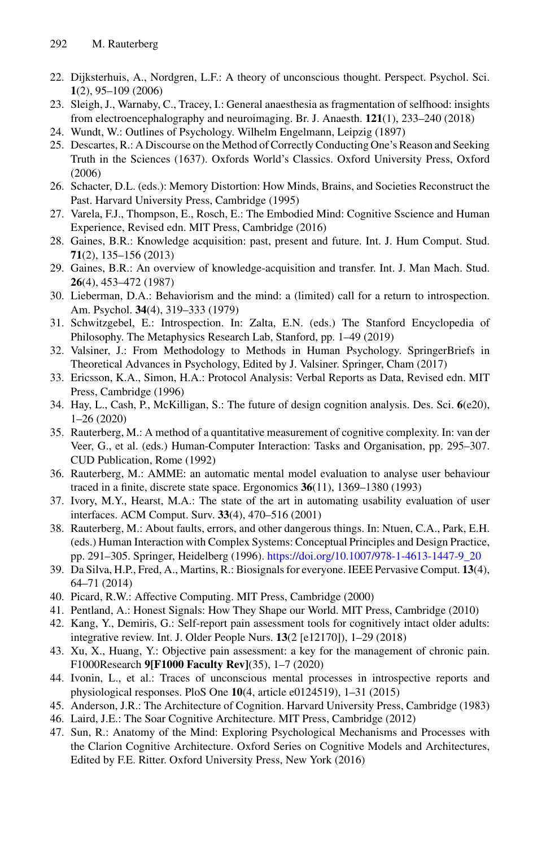- 22. Dijksterhuis, A., Nordgren, L.F.: A theory of unconscious thought. Perspect. Psychol. Sci. **1**(2), 95–109 (2006)
- 23. Sleigh, J., Warnaby, C., Tracey, I.: General anaesthesia as fragmentation of selfhood: insights from electroencephalography and neuroimaging. Br. J. Anaesth. **121**(1), 233–240 (2018)
- 24. Wundt, W.: Outlines of Psychology. Wilhelm Engelmann, Leipzig (1897)
- 25. Descartes, R.: A Discourse on the Method of Correctly Conducting One's Reason and Seeking Truth in the Sciences (1637). Oxfords World's Classics. Oxford University Press, Oxford (2006)
- 26. Schacter, D.L. (eds.): Memory Distortion: How Minds, Brains, and Societies Reconstruct the Past. Harvard University Press, Cambridge (1995)
- 27. Varela, F.J., Thompson, E., Rosch, E.: The Embodied Mind: Cognitive Sscience and Human Experience, Revised edn. MIT Press, Cambridge (2016)
- 28. Gaines, B.R.: Knowledge acquisition: past, present and future. Int. J. Hum Comput. Stud. **71**(2), 135–156 (2013)
- 29. Gaines, B.R.: An overview of knowledge-acquisition and transfer. Int. J. Man Mach. Stud. **26**(4), 453–472 (1987)
- 30. Lieberman, D.A.: Behaviorism and the mind: a (limited) call for a return to introspection. Am. Psychol. **34**(4), 319–333 (1979)
- 31. Schwitzgebel, E.: Introspection. In: Zalta, E.N. (eds.) The Stanford Encyclopedia of Philosophy. The Metaphysics Research Lab, Stanford, pp. 1–49 (2019)
- 32. Valsiner, J.: From Methodology to Methods in Human Psychology. SpringerBriefs in Theoretical Advances in Psychology, Edited by J. Valsiner. Springer, Cham (2017)
- 33. Ericsson, K.A., Simon, H.A.: Protocol Analysis: Verbal Reports as Data, Revised edn. MIT Press, Cambridge (1996)
- 34. Hay, L., Cash, P., McKilligan, S.: The future of design cognition analysis. Des. Sci. **6**(e20), 1–26 (2020)
- 35. Rauterberg, M.: A method of a quantitative measurement of cognitive complexity. In: van der Veer, G., et al. (eds.) Human-Computer Interaction: Tasks and Organisation, pp. 295–307. CUD Publication, Rome (1992)
- 36. Rauterberg, M.: AMME: an automatic mental model evaluation to analyse user behaviour traced in a finite, discrete state space. Ergonomics **36**(11), 1369–1380 (1993)
- 37. Ivory, M.Y., Hearst, M.A.: The state of the art in automating usability evaluation of user interfaces. ACM Comput. Surv. **33**(4), 470–516 (2001)
- 38. Rauterberg, M.: About faults, errors, and other dangerous things. In: Ntuen, C.A., Park, E.H. (eds.) Human Interaction with Complex Systems: Conceptual Principles and Design Practice, pp. 291–305. Springer, Heidelberg (1996). [https://doi.org/10.1007/978-1-4613-1447-9\\_20](https://doi.org/10.1007/978-1-4613-1447-9_20)
- 39. Da Silva, H.P., Fred, A., Martins, R.: Biosignals for everyone. IEEE Pervasive Comput. **13**(4), 64–71 (2014)
- 40. Picard, R.W.: Affective Computing. MIT Press, Cambridge (2000)
- 41. Pentland, A.: Honest Signals: How They Shape our World. MIT Press, Cambridge (2010)
- 42. Kang, Y., Demiris, G.: Self-report pain assessment tools for cognitively intact older adults: integrative review. Int. J. Older People Nurs. **13**(2 [e12170]), 1–29 (2018)
- 43. Xu, X., Huang, Y.: Objective pain assessment: a key for the management of chronic pain. F1000Research **9[F1000 Faculty Rev]**(35), 1–7 (2020)
- 44. Ivonin, L., et al.: Traces of unconscious mental processes in introspective reports and physiological responses. PloS One **10**(4, article e0124519), 1–31 (2015)
- 45. Anderson, J.R.: The Architecture of Cognition. Harvard University Press, Cambridge (1983)
- 46. Laird, J.E.: The Soar Cognitive Architecture. MIT Press, Cambridge (2012)
- 47. Sun, R.: Anatomy of the Mind: Exploring Psychological Mechanisms and Processes with the Clarion Cognitive Architecture. Oxford Series on Cognitive Models and Architectures, Edited by F.E. Ritter. Oxford University Press, New York (2016)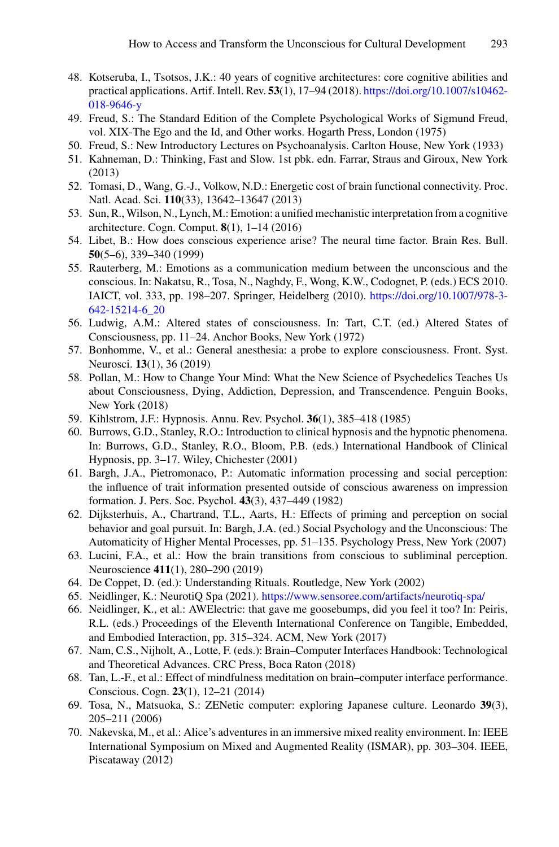- 48. Kotseruba, I., Tsotsos, J.K.: 40 years of cognitive architectures: core cognitive abilities and [practical applications. Artif. Intell. Rev.](https://doi.org/10.1007/s10462-018-9646-y) **53**(1), 17–94 (2018). https://doi.org/10.1007/s10462- 018-9646-y
- 49. Freud, S.: The Standard Edition of the Complete Psychological Works of Sigmund Freud, vol. XIX-The Ego and the Id, and Other works. Hogarth Press, London (1975)
- 50. Freud, S.: New Introductory Lectures on Psychoanalysis. Carlton House, New York (1933)
- 51. Kahneman, D.: Thinking, Fast and Slow. 1st pbk. edn. Farrar, Straus and Giroux, New York (2013)
- 52. Tomasi, D., Wang, G.-J., Volkow, N.D.: Energetic cost of brain functional connectivity. Proc. Natl. Acad. Sci. **110**(33), 13642–13647 (2013)
- 53. Sun, R., Wilson, N., Lynch, M.: Emotion: a unified mechanistic interpretation from a cognitive architecture. Cogn. Comput. **8**(1), 1–14 (2016)
- 54. Libet, B.: How does conscious experience arise? The neural time factor. Brain Res. Bull. **50**(5–6), 339–340 (1999)
- 55. Rauterberg, M.: Emotions as a communication medium between the unconscious and the conscious. In: Nakatsu, R., Tosa, N., Naghdy, F., Wong, K.W., Codognet, P. (eds.) ECS 2010. [IAICT, vol. 333, pp. 198–207. Springer, Heidelberg \(2010\).](https://doi.org/10.1007/978-3-642-15214-6_20) https://doi.org/10.1007/978-3- 642-15214-6\_20
- 56. Ludwig, A.M.: Altered states of consciousness. In: Tart, C.T. (ed.) Altered States of Consciousness, pp. 11–24. Anchor Books, New York (1972)
- 57. Bonhomme, V., et al.: General anesthesia: a probe to explore consciousness. Front. Syst. Neurosci. **13**(1), 36 (2019)
- 58. Pollan, M.: How to Change Your Mind: What the New Science of Psychedelics Teaches Us about Consciousness, Dying, Addiction, Depression, and Transcendence. Penguin Books, New York (2018)
- 59. Kihlstrom, J.F.: Hypnosis. Annu. Rev. Psychol. **36**(1), 385–418 (1985)
- 60. Burrows, G.D., Stanley, R.O.: Introduction to clinical hypnosis and the hypnotic phenomena. In: Burrows, G.D., Stanley, R.O., Bloom, P.B. (eds.) International Handbook of Clinical Hypnosis, pp. 3–17. Wiley, Chichester (2001)
- 61. Bargh, J.A., Pietromonaco, P.: Automatic information processing and social perception: the influence of trait information presented outside of conscious awareness on impression formation. J. Pers. Soc. Psychol. **43**(3), 437–449 (1982)
- 62. Dijksterhuis, A., Chartrand, T.L., Aarts, H.: Effects of priming and perception on social behavior and goal pursuit. In: Bargh, J.A. (ed.) Social Psychology and the Unconscious: The Automaticity of Higher Mental Processes, pp. 51–135. Psychology Press, New York (2007)
- 63. Lucini, F.A., et al.: How the brain transitions from conscious to subliminal perception. Neuroscience **411**(1), 280–290 (2019)
- 64. De Coppet, D. (ed.): Understanding Rituals. Routledge, New York (2002)
- 65. Neidlinger, K.: NeurotiQ Spa (2021). <https://www.sensoree.com/artifacts/neurotiq-spa/>
- 66. Neidlinger, K., et al.: AWElectric: that gave me goosebumps, did you feel it too? In: Peiris, R.L. (eds.) Proceedings of the Eleventh International Conference on Tangible, Embedded, and Embodied Interaction, pp. 315–324. ACM, New York (2017)
- 67. Nam, C.S., Nijholt, A., Lotte, F. (eds.): Brain–Computer Interfaces Handbook: Technological and Theoretical Advances. CRC Press, Boca Raton (2018)
- 68. Tan, L.-F., et al.: Effect of mindfulness meditation on brain–computer interface performance. Conscious. Cogn. **23**(1), 12–21 (2014)
- 69. Tosa, N., Matsuoka, S.: ZENetic computer: exploring Japanese culture. Leonardo **39**(3), 205–211 (2006)
- 70. Nakevska, M., et al.: Alice's adventures in an immersive mixed reality environment. In: IEEE International Symposium on Mixed and Augmented Reality (ISMAR), pp. 303–304. IEEE, Piscataway (2012)